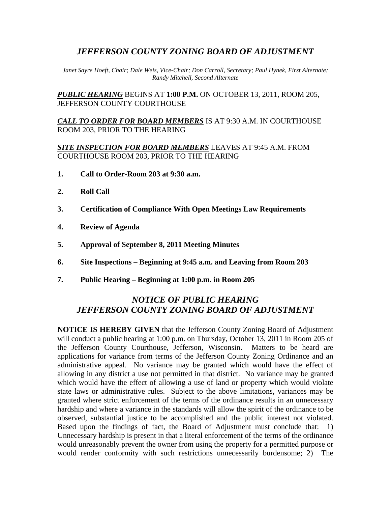## *JEFFERSON COUNTY ZONING BOARD OF ADJUSTMENT*

*Janet Sayre Hoeft, Chair; Dale Weis, Vice-Chair; Don Carroll, Secretary; Paul Hynek, First Alternate; Randy Mitchell, Second Alternate* 

*PUBLIC HEARING* BEGINS AT **1:00 P.M.** ON OCTOBER 13, 2011, ROOM 205, JEFFERSON COUNTY COURTHOUSE

*CALL TO ORDER FOR BOARD MEMBERS* IS AT 9:30 A.M. IN COURTHOUSE ROOM 203, PRIOR TO THE HEARING

*SITE INSPECTION FOR BOARD MEMBERS* LEAVES AT 9:45 A.M. FROM COURTHOUSE ROOM 203, PRIOR TO THE HEARING

- **1. Call to Order-Room 203 at 9:30 a.m.**
- **2. Roll Call**
- **3. Certification of Compliance With Open Meetings Law Requirements**
- **4. Review of Agenda**
- **5. Approval of September 8, 2011 Meeting Minutes**
- **6. Site Inspections Beginning at 9:45 a.m. and Leaving from Room 203**
- **7. Public Hearing Beginning at 1:00 p.m. in Room 205**

## *NOTICE OF PUBLIC HEARING JEFFERSON COUNTY ZONING BOARD OF ADJUSTMENT*

**NOTICE IS HEREBY GIVEN** that the Jefferson County Zoning Board of Adjustment will conduct a public hearing at 1:00 p.m. on Thursday, October 13, 2011 in Room 205 of the Jefferson County Courthouse, Jefferson, Wisconsin. Matters to be heard are applications for variance from terms of the Jefferson County Zoning Ordinance and an administrative appeal. No variance may be granted which would have the effect of allowing in any district a use not permitted in that district. No variance may be granted which would have the effect of allowing a use of land or property which would violate state laws or administrative rules. Subject to the above limitations, variances may be granted where strict enforcement of the terms of the ordinance results in an unnecessary hardship and where a variance in the standards will allow the spirit of the ordinance to be observed, substantial justice to be accomplished and the public interest not violated. Based upon the findings of fact, the Board of Adjustment must conclude that: 1) Unnecessary hardship is present in that a literal enforcement of the terms of the ordinance would unreasonably prevent the owner from using the property for a permitted purpose or would render conformity with such restrictions unnecessarily burdensome; 2) The